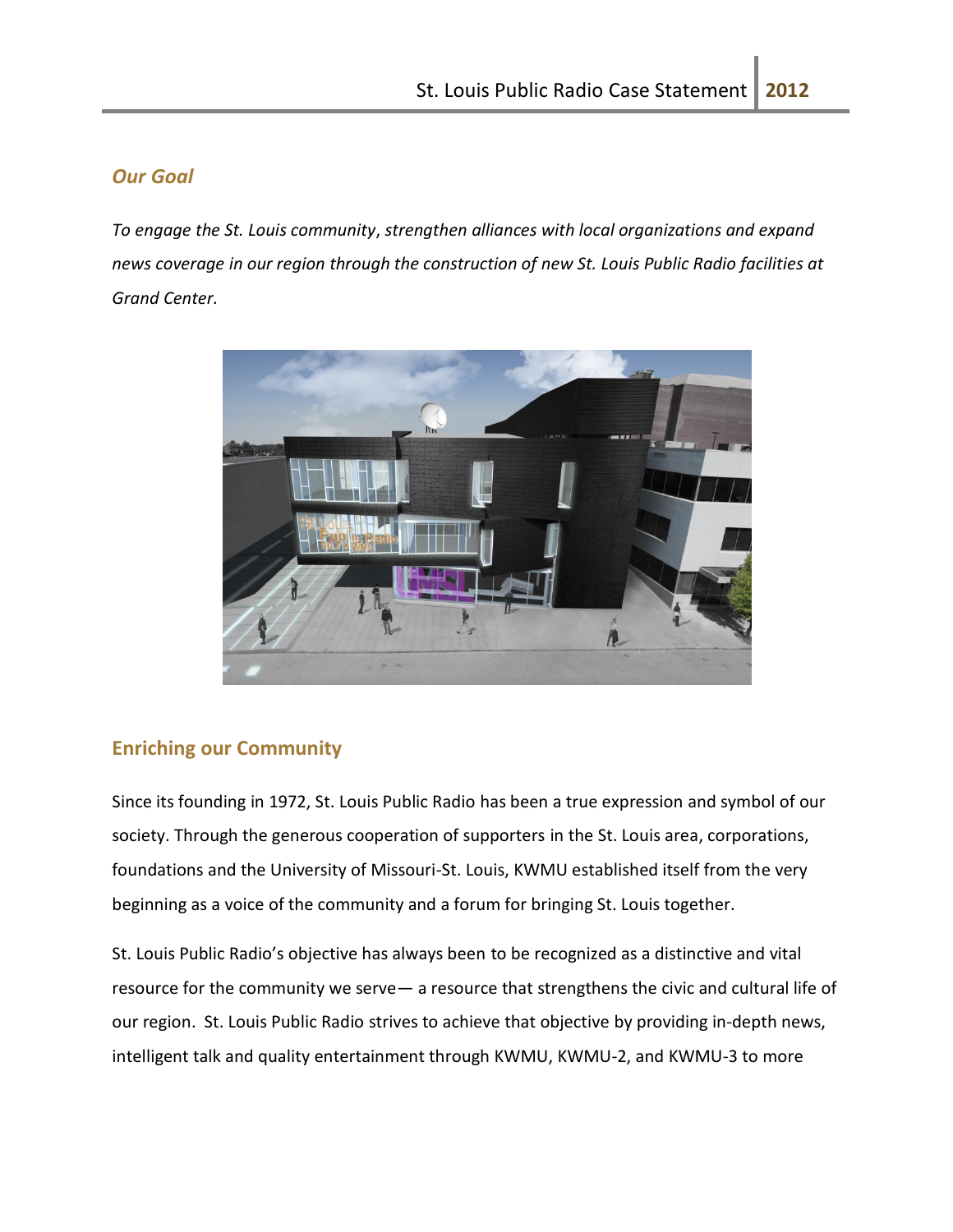### *Our Goal*

*To engage the St. Louis community*, *strengthen alliances with local organizations and expand news coverage in our region through the construction of new St. Louis Public Radio facilities at Grand Center.*



## **Enriching our Community**

Since its founding in 1972, St. Louis Public Radio has been a true expression and symbol of our society. Through the generous cooperation of supporters in the St. Louis area, corporations, foundations and the University of Missouri-St. Louis, KWMU established itself from the very beginning as a voice of the community and a forum for bringing St. Louis together.

St. Louis Public Radio's objective has always been to be recognized as a distinctive and vital resource for the community we serve— a resource that strengthens the civic and cultural life of our region. St. Louis Public Radio strives to achieve that objective by providing in-depth news, intelligent talk and quality entertainment through KWMU, KWMU-2, and KWMU-3 to more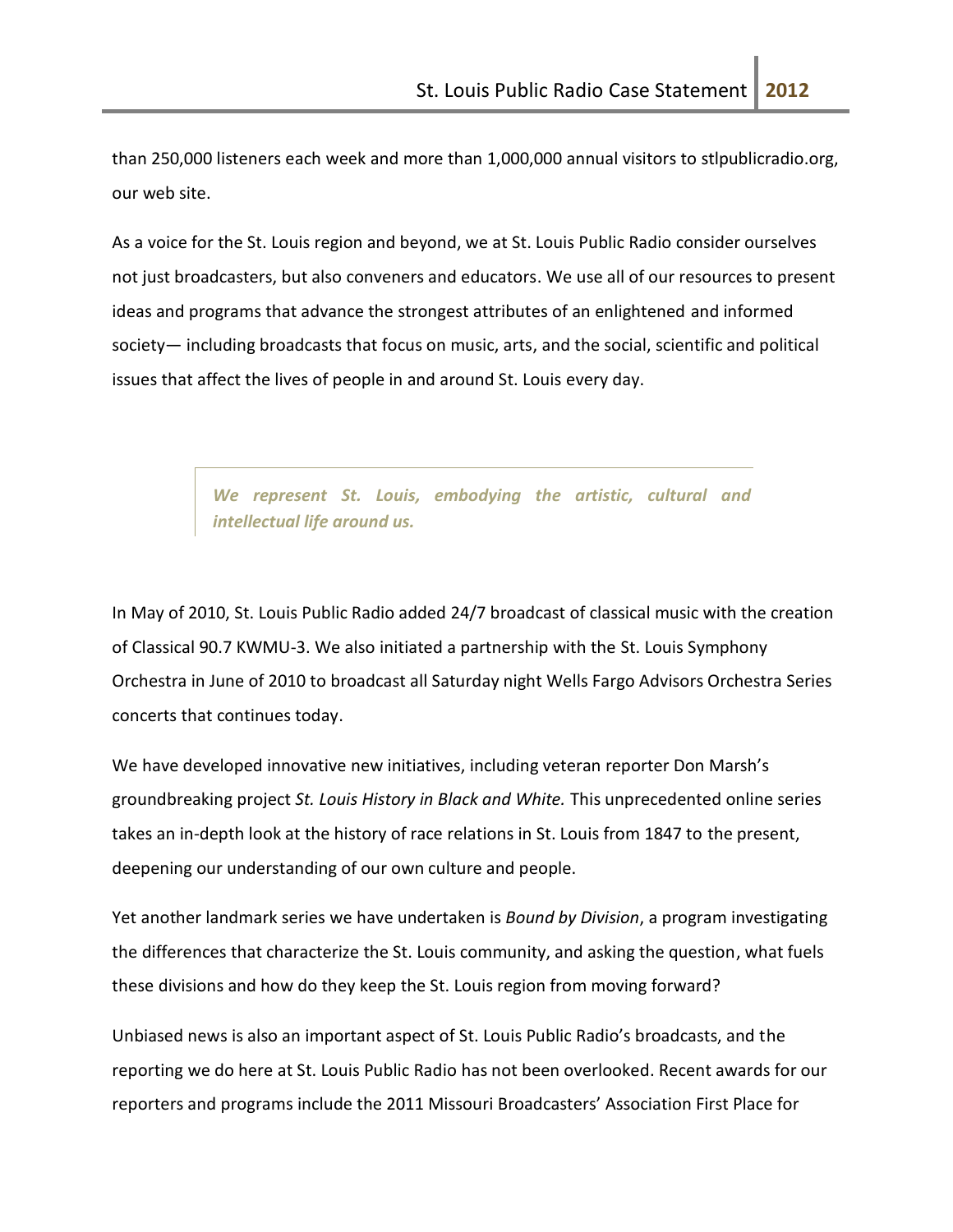than 250,000 listeners each week and more than 1,000,000 annual visitors to stlpublicradio.org, our web site.

As a voice for the St. Louis region and beyond, we at St. Louis Public Radio consider ourselves not just broadcasters, but also conveners and educators. We use all of our resources to present ideas and programs that advance the strongest attributes of an enlightened and informed society— including broadcasts that focus on music, arts, and the social, scientific and political issues that affect the lives of people in and around St. Louis every day.

> *We represent St. Louis, embodying the artistic, cultural and intellectual life around us.*

In May of 2010, St. Louis Public Radio added 24/7 broadcast of classical music with the creation of Classical 90.7 KWMU-3. We also initiated a partnership with the St. Louis Symphony Orchestra in June of 2010 to broadcast all Saturday night Wells Fargo Advisors Orchestra Series concerts that continues today.

We have developed innovative new initiatives, including veteran reporter Don Marsh's groundbreaking project *St. Louis History in Black and White.* This unprecedented online series takes an in-depth look at the history of race relations in St. Louis from 1847 to the present, deepening our understanding of our own culture and people.

Yet another landmark series we have undertaken is *Bound by Division*, a program investigating the differences that characterize the St. Louis community, and asking the question, what fuels these divisions and how do they keep the St. Louis region from moving forward?

Unbiased news is also an important aspect of St. Louis Public Radio's broadcasts, and the reporting we do here at St. Louis Public Radio has not been overlooked. Recent awards for our reporters and programs include the 2011 Missouri Broadcasters' Association First Place for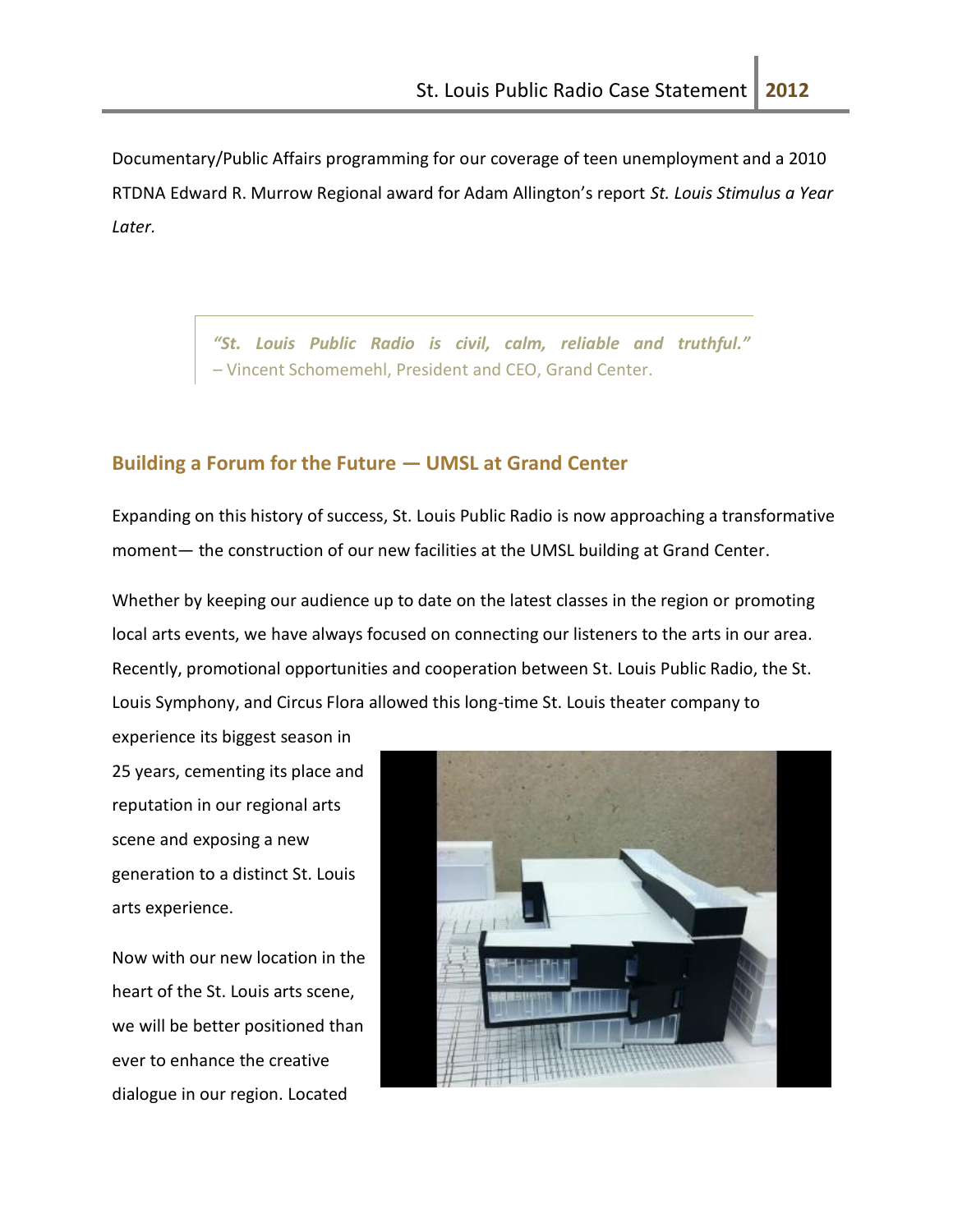Documentary/Public Affairs programming for our coverage of teen unemployment and a 2010 RTDNA Edward R. Murrow Regional award for Adam Allington's report *St. Louis Stimulus a Year Later.*

> *"St. Louis Public Radio is civil, calm, reliable and truthful." –* Vincent Schomemehl, President and CEO, Grand Center.

#### **Building a Forum for the Future — UMSL at Grand Center**

Expanding on this history of success, St. Louis Public Radio is now approaching a transformative moment— the construction of our new facilities at the UMSL building at Grand Center.

Whether by keeping our audience up to date on the latest classes in the region or promoting local arts events, we have always focused on connecting our listeners to the arts in our area. Recently, promotional opportunities and cooperation between St. Louis Public Radio, the St. Louis Symphony, and Circus Flora allowed this long-time St. Louis theater company to

experience its biggest season in 25 years, cementing its place and reputation in our regional arts scene and exposing a new generation to a distinct St. Louis arts experience.

Now with our new location in the heart of the St. Louis arts scene, we will be better positioned than ever to enhance the creative dialogue in our region. Located

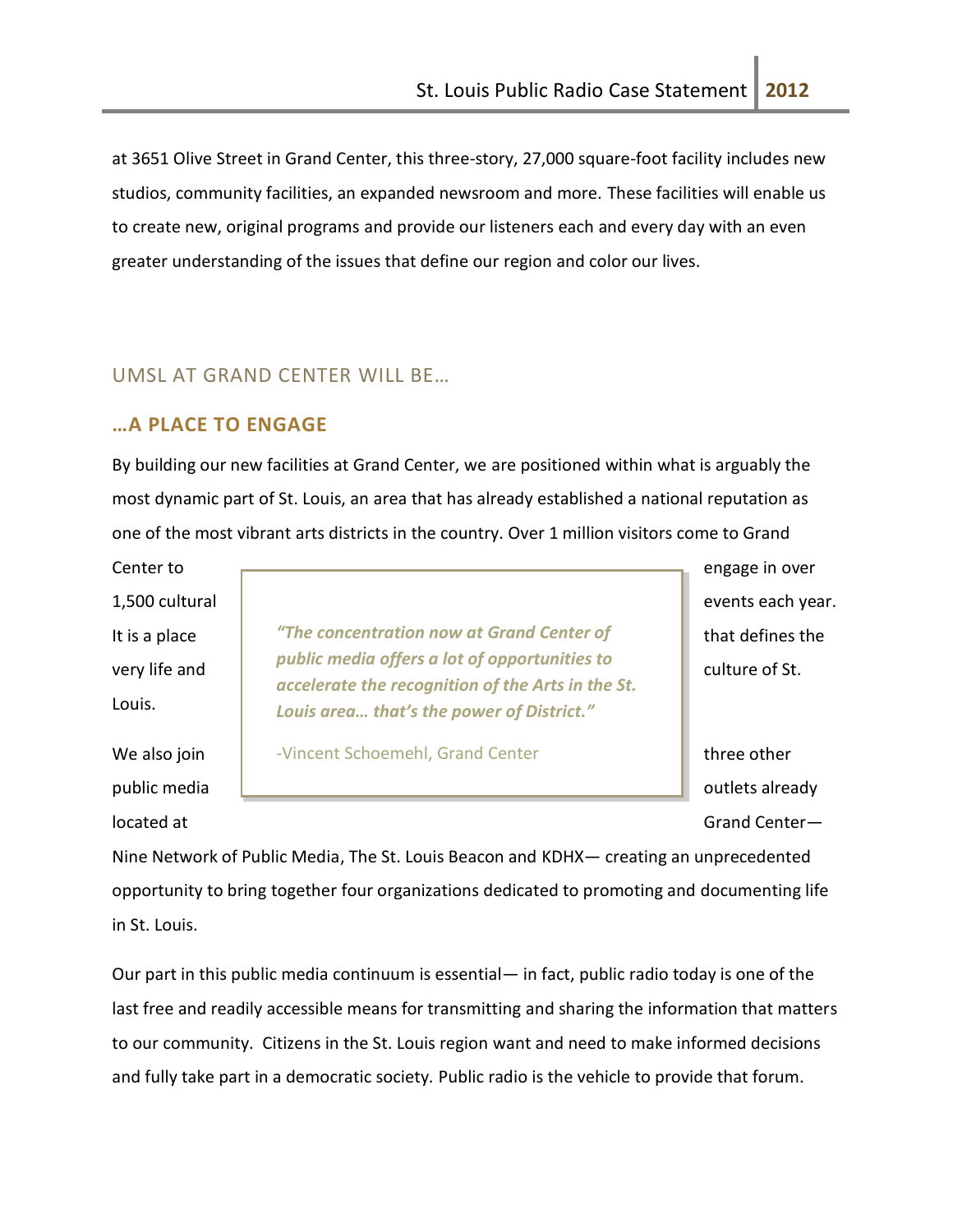at 3651 Olive Street in Grand Center, this three-story, 27,000 square-foot facility includes new studios, community facilities, an expanded newsroom and more. These facilities will enable us to create new, original programs and provide our listeners each and every day with an even greater understanding of the issues that define our region and color our lives.

# UMSL AT GRAND CENTER WILL BE…

### **…A PLACE TO ENGAGE**

By building our new facilities at Grand Center, we are positioned within what is arguably the most dynamic part of St. Louis, an area that has already established a national reputation as one of the most vibrant arts districts in the country. Over 1 million visitors come to Grand

Center to **Exercise 2018** Center to engage in over Louis.

It is a place **that** *a is a concentration now at Grand Center of* **that defines the** very life and  $\begin{bmatrix} 1 & \text{pump mean} \\ \text{culture of St.} \end{bmatrix}$ *public media offers a lot of opportunities to accelerate the recognition of the Arts in the St. Louis area… that's the power of District."*

We also join **the Church Schoemehl, Grand Center Containery in three other** 

1,500 cultural events each year.

public media outlets already outlets already located at Grand Center—

Nine Network of Public Media, The St. Louis Beacon and KDHX— creating an unprecedented opportunity to bring together four organizations dedicated to promoting and documenting life in St. Louis.

Our part in this public media continuum is essential— in fact, public radio today is one of the last free and readily accessible means for transmitting and sharing the information that matters to our community. Citizens in the St. Louis region want and need to make informed decisions and fully take part in a democratic society. Public radio is the vehicle to provide that forum.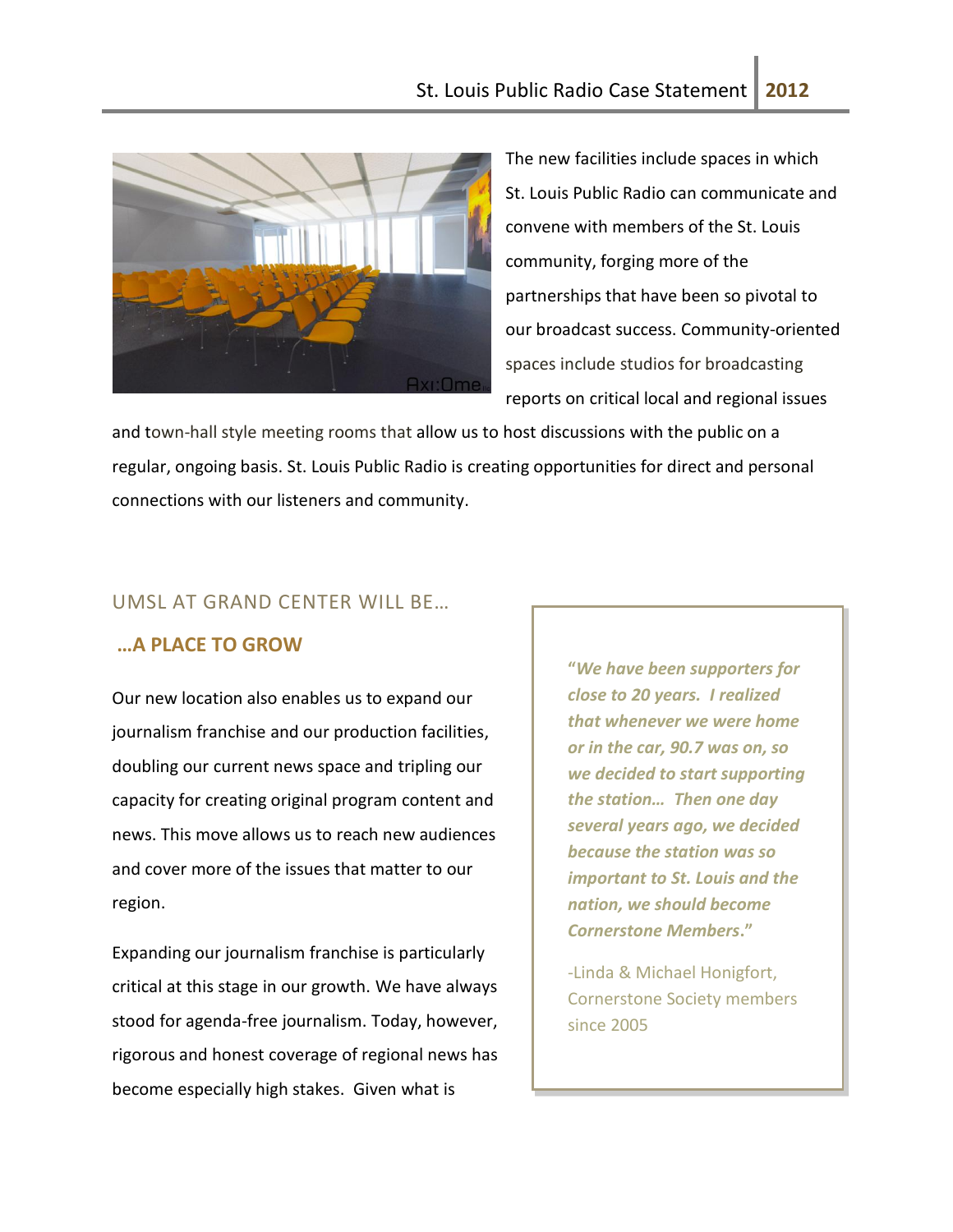

The new facilities include spaces in which St. Louis Public Radio can communicate and convene with members of the St. Louis community, forging more of the partnerships that have been so pivotal to our broadcast success. Community-oriented spaces include studios for broadcasting reports on critical local and regional issues

and town-hall style meeting rooms that allow us to host discussions with the public on a regular, ongoing basis. St. Louis Public Radio is creating opportunities for direct and personal connections with our listeners and community.

### UMSL AT GRAND CENTER WILL BE…

### **…A PLACE TO GROW**

Our new location also enables us to expand our journalism franchise and our production facilities, doubling our current news space and tripling our capacity for creating original program content and news. This move allows us to reach new audiences and cover more of the issues that matter to our region.

Expanding our journalism franchise is particularly critical at this stage in our growth. We have always stood for agenda-free journalism. Today, however, rigorous and honest coverage of regional news has become especially high stakes. Given what is

**"***We have been supporters for close to 20 years. I realized that whenever we were home or in the car, 90.7 was on, so we decided to start supporting the station… Then one day several years ago, we decided because the station was so important to St. Louis and the nation, we should become Cornerstone Members***."**

-Linda & Michael Honigfort, Cornerstone Society members since 2005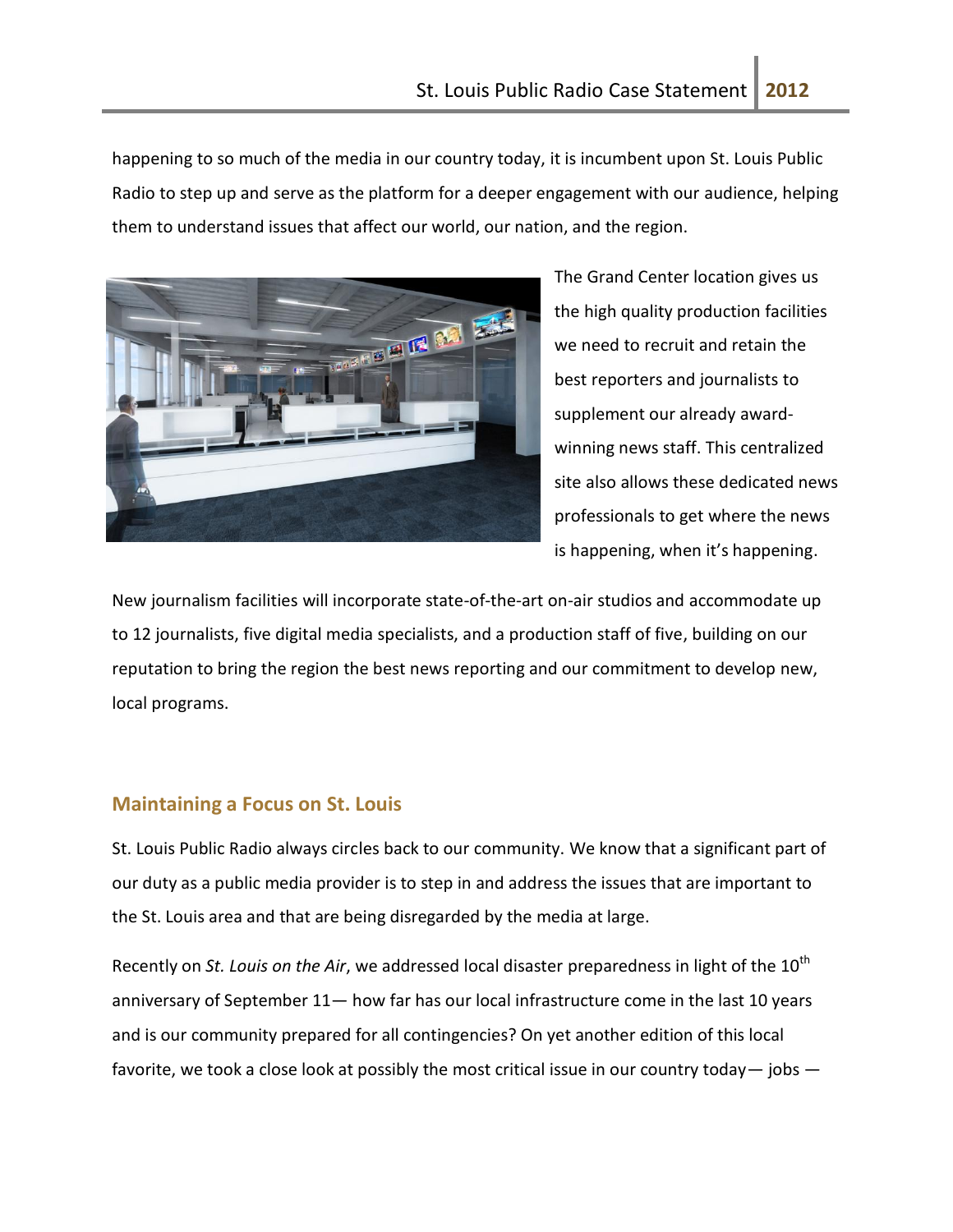happening to so much of the media in our country today, it is incumbent upon St. Louis Public Radio to step up and serve as the platform for a deeper engagement with our audience, helping them to understand issues that affect our world, our nation, and the region.



The Grand Center location gives us the high quality production facilities we need to recruit and retain the best reporters and journalists to supplement our already awardwinning news staff. This centralized site also allows these dedicated news professionals to get where the news is happening, when it's happening.

New journalism facilities will incorporate state-of-the-art on-air studios and accommodate up to 12 journalists, five digital media specialists, and a production staff of five, building on our reputation to bring the region the best news reporting and our commitment to develop new, local programs.

## **Maintaining a Focus on St. Louis**

St. Louis Public Radio always circles back to our community. We know that a significant part of our duty as a public media provider is to step in and address the issues that are important to the St. Louis area and that are being disregarded by the media at large.

Recently on *St. Louis on the Air*, we addressed local disaster preparedness in light of the 10<sup>th</sup> anniversary of September 11— how far has our local infrastructure come in the last 10 years and is our community prepared for all contingencies? On yet another edition of this local favorite, we took a close look at possibly the most critical issue in our country today  $-$  jobs  $-$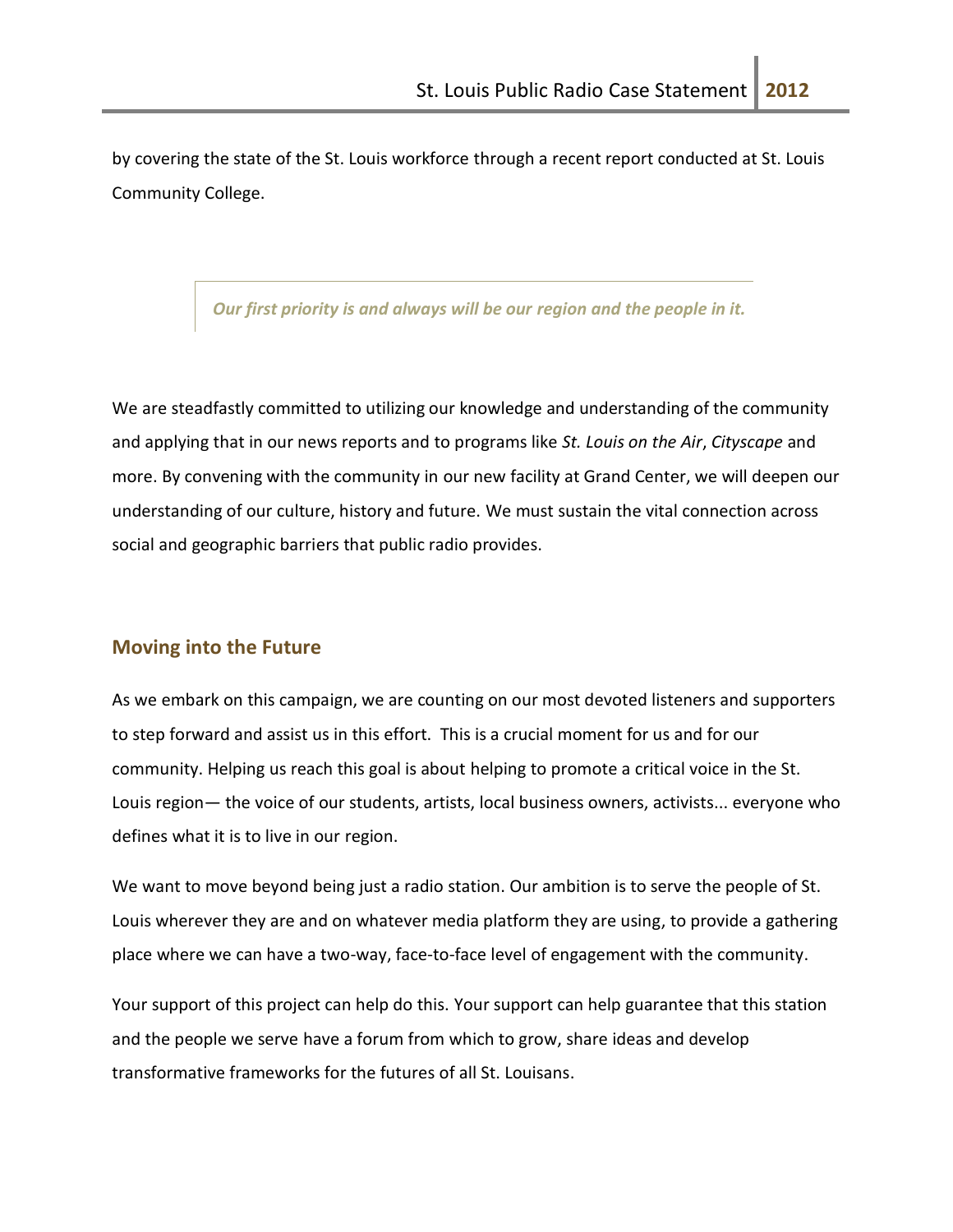by covering the state of the St. Louis workforce through a recent report conducted at St. Louis Community College.

#### *Our first priority is and always will be our region and the people in it.*

We are steadfastly committed to utilizing our knowledge and understanding of the community and applying that in our news reports and to programs like *St. Louis on the Air*, *Cityscape* and more. By convening with the community in our new facility at Grand Center, we will deepen our understanding of our culture, history and future. We must sustain the vital connection across social and geographic barriers that public radio provides.

### **Moving into the Future**

As we embark on this campaign, we are counting on our most devoted listeners and supporters to step forward and assist us in this effort. This is a crucial moment for us and for our community. Helping us reach this goal is about helping to promote a critical voice in the St. Louis region— the voice of our students, artists, local business owners, activists... everyone who defines what it is to live in our region.

We want to move beyond being just a radio station. Our ambition is to serve the people of St. Louis wherever they are and on whatever media platform they are using, to provide a gathering place where we can have a two-way, face-to-face level of engagement with the community.

Your support of this project can help do this. Your support can help guarantee that this station and the people we serve have a forum from which to grow, share ideas and develop transformative frameworks for the futures of all St. Louisans.